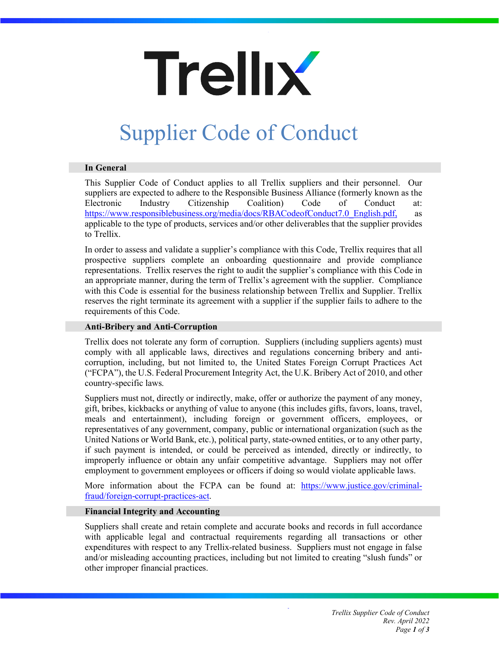# **Trellix**

# Supplier Code of Conduct

# **In General**

This Supplier Code of Conduct applies to all Trellix suppliers and their personnel. Our suppliers are expected to adhere to the Responsible Business Alliance (formerly known as the Electronic Industry Citizenship Coalition) Code of Conduct at: [https://www.responsiblebusiness.org/media/docs/RBACodeofConduct7.0\\_English.pdf,](https://www.responsiblebusiness.org/media/docs/RBACodeofConduct7.0_English.pdf) as applicable to the type of products, services and/or other deliverables that the supplier provides to Trellix.

In order to assess and validate a supplier's compliance with this Code, Trellix requires that all prospective suppliers complete an onboarding questionnaire and provide compliance representations. Trellix reserves the right to audit the supplier's compliance with this Code in an appropriate manner, during the term of Trellix's agreement with the supplier. Compliance with this Code is essential for the business relationship between Trellix and Supplier. Trellix reserves the right terminate its agreement with a supplier if the supplier fails to adhere to the requirements of this Code.

# **Anti-Bribery and Anti-Corruption**

Trellix does not tolerate any form of corruption. Suppliers (including suppliers agents) must comply with all applicable laws, directives and regulations concerning bribery and anticorruption, including, but not limited to, the United States Foreign Corrupt Practices Act ("FCPA"), the U.S. Federal Procurement Integrity Act, the U.K. Bribery Act of 2010, and other country-specific laws.

Suppliers must not, directly or indirectly, make, offer or authorize the payment of any money, gift, bribes, kickbacks or anything of value to anyone (this includes gifts, favors, loans, travel, meals and entertainment), including foreign or government officers, employees, or representatives of any government, company, public or international organization (such as the United Nations or World Bank, etc.), political party, state-owned entities, or to any other party, if such payment is intended, or could be perceived as intended, directly or indirectly, to improperly influence or obtain any unfair competitive advantage. Suppliers may not offer employment to government employees or officers if doing so would violate applicable laws.

More information about the FCPA can be found at: [https://www.justice.gov/criminal](https://www.justice.gov/criminal-fraud/foreign-corrupt-practices-act)[fraud/foreign-corrupt-practices-act.](https://www.justice.gov/criminal-fraud/foreign-corrupt-practices-act)

# **Financial Integrity and Accounting**

Suppliers shall create and retain complete and accurate books and records in full accordance with applicable legal and contractual requirements regarding all transactions or other expenditures with respect to any Trellix-related business. Suppliers must not engage in false and/or misleading accounting practices, including but not limited to creating "slush funds" or other improper financial practices.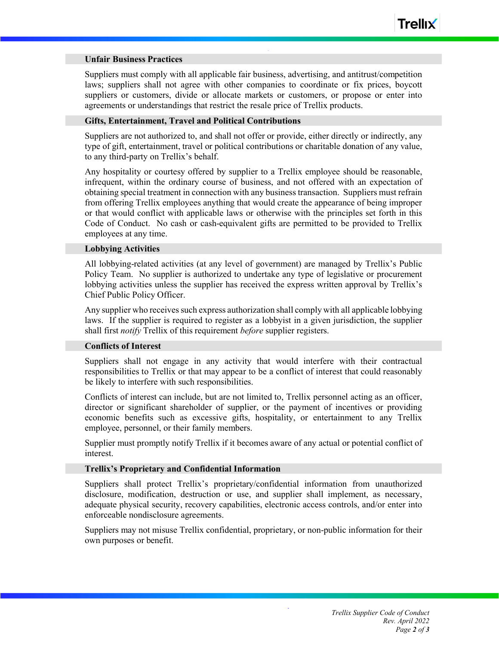#### **Unfair Business Practices**

Suppliers must comply with all applicable fair business, advertising, and antitrust/competition laws; suppliers shall not agree with other companies to coordinate or fix prices, boycott suppliers or customers, divide or allocate markets or customers, or propose or enter into agreements or understandings that restrict the resale price of Trellix products.

#### **Gifts, Entertainment, Travel and Political Contributions**

Suppliers are not authorized to, and shall not offer or provide, either directly or indirectly, any type of gift, entertainment, travel or political contributions or charitable donation of any value, to any third-party on Trellix's behalf.

Any hospitality or courtesy offered by supplier to a Trellix employee should be reasonable, infrequent, within the ordinary course of business, and not offered with an expectation of obtaining special treatment in connection with any business transaction. Suppliers must refrain from offering Trellix employees anything that would create the appearance of being improper or that would conflict with applicable laws or otherwise with the principles set forth in this Code of Conduct. No cash or cash-equivalent gifts are permitted to be provided to Trellix employees at any time.

#### **Lobbying Activities**

All lobbying-related activities (at any level of government) are managed by Trellix's Public Policy Team. No supplier is authorized to undertake any type of legislative or procurement lobbying activities unless the supplier has received the express written approval by Trellix's Chief Public Policy Officer.

Any supplier who receives such express authorization shall comply with all applicable lobbying laws. If the supplier is required to register as a lobbyist in a given jurisdiction, the supplier shall first *notify* Trellix of this requirement *before* supplier registers.

#### **Conflicts of Interest**

Suppliers shall not engage in any activity that would interfere with their contractual responsibilities to Trellix or that may appear to be a conflict of interest that could reasonably be likely to interfere with such responsibilities.

Conflicts of interest can include, but are not limited to, Trellix personnel acting as an officer, director or significant shareholder of supplier, or the payment of incentives or providing economic benefits such as excessive gifts, hospitality, or entertainment to any Trellix employee, personnel, or their family members.

Supplier must promptly notify Trellix if it becomes aware of any actual or potential conflict of interest.

# **Trellix's Proprietary and Confidential Information**

Suppliers shall protect Trellix's proprietary/confidential information from unauthorized disclosure, modification, destruction or use, and supplier shall implement, as necessary, adequate physical security, recovery capabilities, electronic access controls, and/or enter into enforceable nondisclosure agreements.

Suppliers may not misuse Trellix confidential, proprietary, or non-public information for their own purposes or benefit.